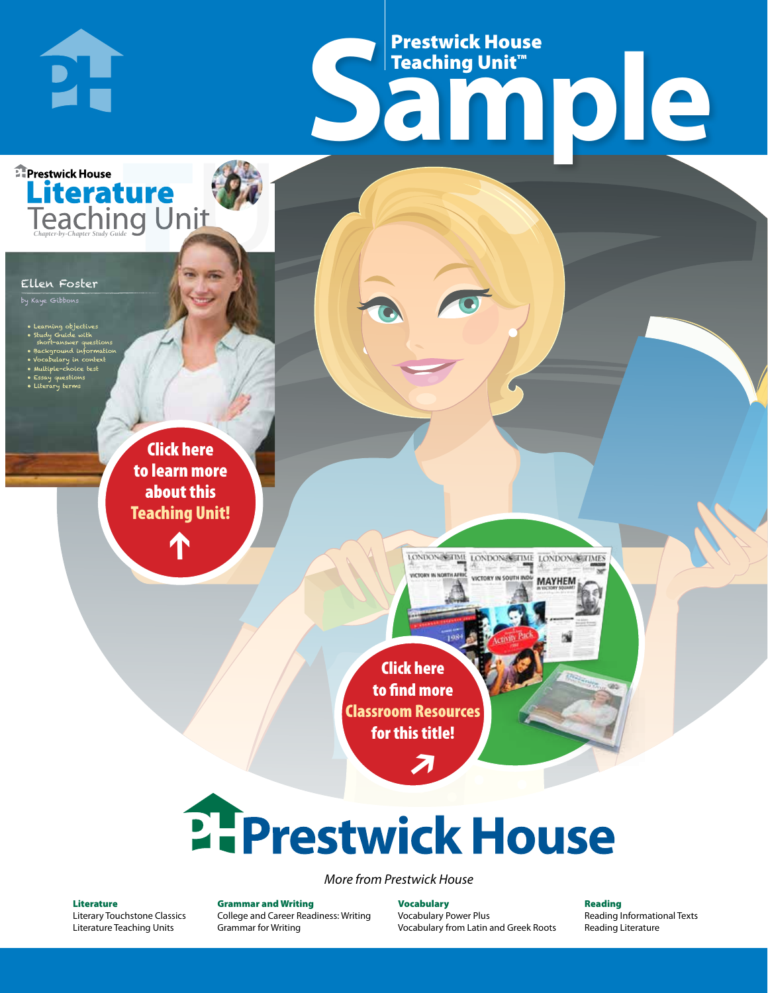# Frestwick House<br>
Sample Prestwick House Teaching Unit™

LONDON-SCITME LONDON/SCITME LONDON/SCITMES victory in soul

**MAYHEM** 

**Prestwick House** Literature

#### Ellen Foster

**PH** 

by Kaye Gibbons

- Learning objectives
- Study Guide with short-answer questions
- Background information
- Vocabulary in context • Multiple-choice test

CHARLES DICKENS

- Essay questions
- **A Tale of Two Cities** • Literary terms

r e o r d e r n o . x x x x x x Click here to learn more about this [Teaching Unit!](https://www.prestwickhouse.com/pdf/id-302558/Ellen_Foster_-_Downloadable_Teaching_Unit)

 $\mathbf{T}$ 

1

Click here to find more [Classroom Resources](http://teaching-english.prestwickhouse.com/search#w=ellen%20foster)  for this title!

 $\overline{\boldsymbol{\lambda}}$ 

# 2. Prestwick House

#### *More from Prestwick House*

#### Literature

[Literary Touchstone Classics](https://www.prestwickhouse.com/literary-touchstone-classics) [Literature Teaching Units](https://www.prestwickhouse.com/teaching-units)

Grammar and Writing [College and Career Readiness: Writing](https://www.prestwickhouse.com/college-and-career-readiness-writing) [Grammar for Writing](https://www.prestwickhouse.com/book/id-302639/Grammar_for_Writing_-_30_Books_and_Teachers_Edition)

Vocabulary [Vocabulary Power Plus](https://www.prestwickhouse.com/vocabulary-power-plus-for-college-and-career-readiness) [Vocabulary from Latin and Greek Roots](https://www.prestwickhouse.com/vocabulary-from-latin-and-greek-roots) Reading

[Reading Informational Texts](https://www.prestwickhouse.com/reading-informational-texts) [Reading Literature](https://www.prestwickhouse.com/reading-literature)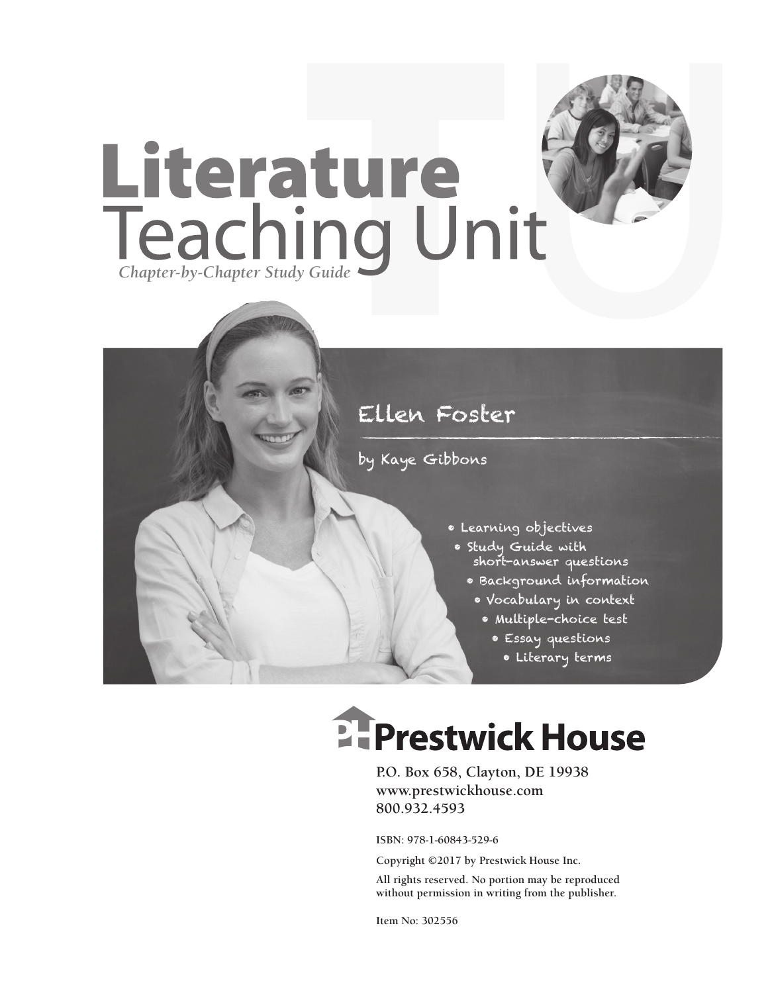

# by Kaye Gibbons

- Learning objectives
- Study Guide with short-answer questions
	- Background information
	- Vocabulary in context
		- Multiple-choice test
			- Essay questions
				- Literary terms

# **EFPrestwick House**

**P.O. Box 658, Clayton, DE 19938 www.prestwickhouse.com 800.932.4593**

**ISBN: 978-1-60843-529-6**

**Copyright ©2017 by Prestwick House Inc.**

**All rights reserved. No portion may be reproduced without permission in writing from the publisher.**

**Item No: 302556**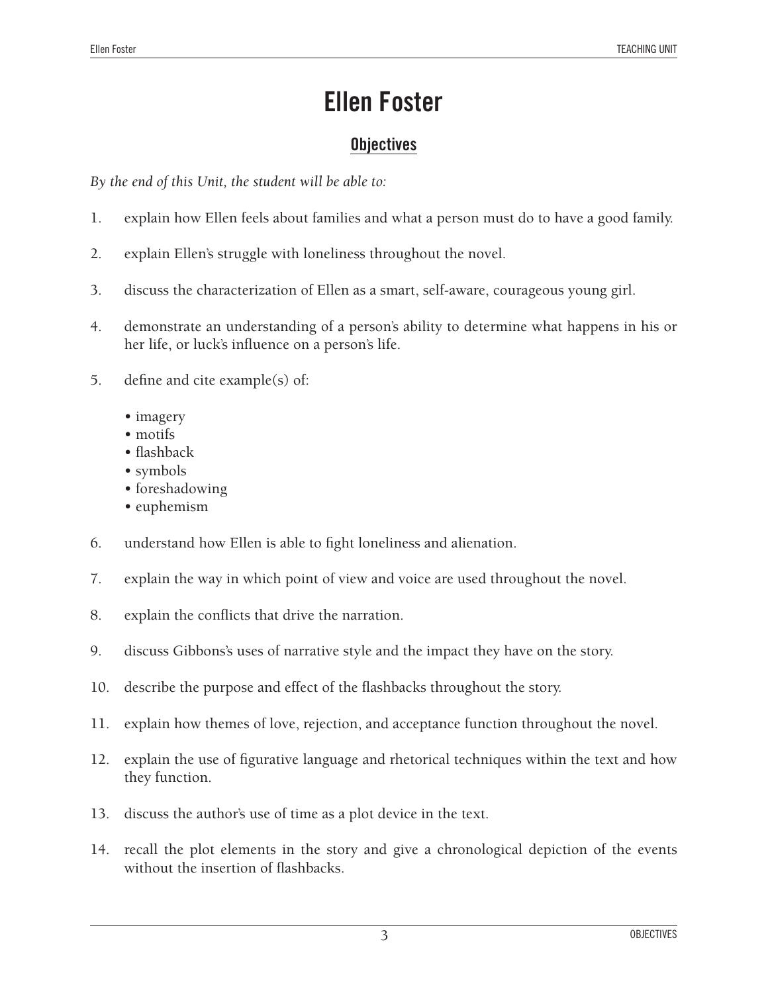## **Objectives**

*By the end of this Unit, the student will be able to:*

- 1. explain how Ellen feels about families and what a person must do to have a good family.
- 2. explain Ellen's struggle with loneliness throughout the novel.
- 3. discuss the characterization of Ellen as a smart, self-aware, courageous young girl.
- 4. demonstrate an understanding of a person's ability to determine what happens in his or her life, or luck's influence on a person's life.
- 5. define and cite example(s) of:
	- imagery
	- motifs
	- flashback
	- symbols
	- foreshadowing
	- euphemism
- 6. understand how Ellen is able to fight loneliness and alienation.
- 7. explain the way in which point of view and voice are used throughout the novel.
- 8. explain the conflicts that drive the narration.
- 9. discuss Gibbons's uses of narrative style and the impact they have on the story.
- 10. describe the purpose and effect of the flashbacks throughout the story.
- 11. explain how themes of love, rejection, and acceptance function throughout the novel.
- 12. explain the use of figurative language and rhetorical techniques within the text and how they function.
- 13. discuss the author's use of time as a plot device in the text.
- 14. recall the plot elements in the story and give a chronological depiction of the events without the insertion of flashbacks.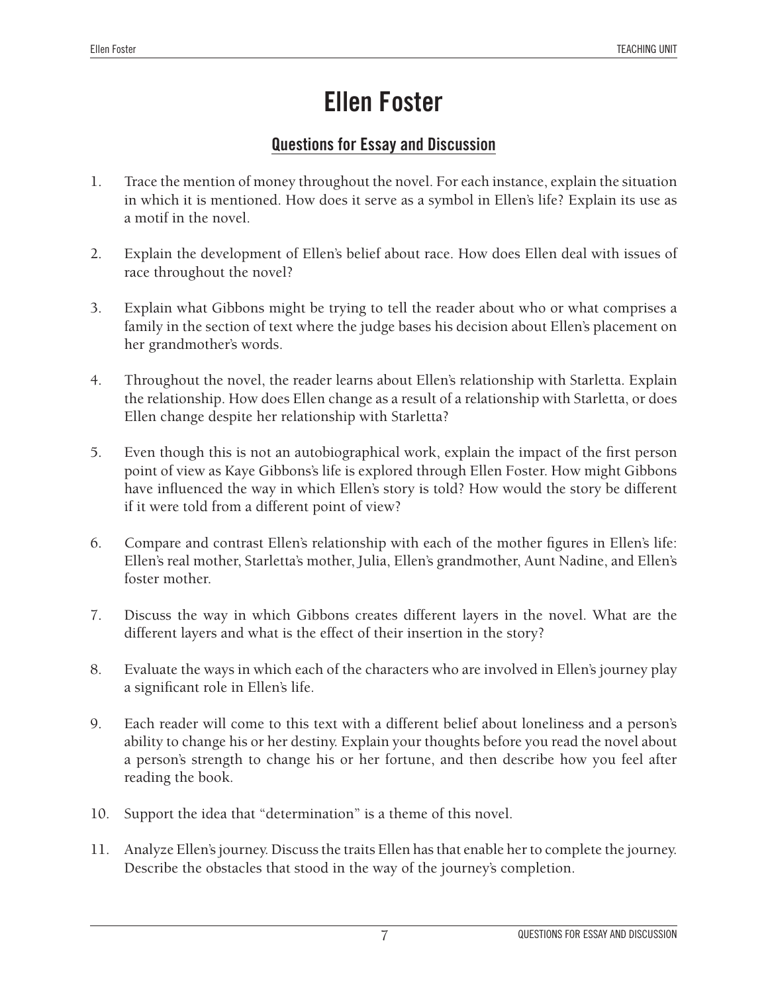## **Questions for Essay and Discussion**

- 1. Trace the mention of money throughout the novel. For each instance, explain the situation in which it is mentioned. How does it serve as a symbol in Ellen's life? Explain its use as a motif in the novel.
- 2. Explain the development of Ellen's belief about race. How does Ellen deal with issues of race throughout the novel?
- 3. Explain what Gibbons might be trying to tell the reader about who or what comprises a family in the section of text where the judge bases his decision about Ellen's placement on her grandmother's words.
- 4. Throughout the novel, the reader learns about Ellen's relationship with Starletta. Explain the relationship. How does Ellen change as a result of a relationship with Starletta, or does Ellen change despite her relationship with Starletta?
- 5. Even though this is not an autobiographical work, explain the impact of the first person point of view as Kaye Gibbons's life is explored through Ellen Foster. How might Gibbons have influenced the way in which Ellen's story is told? How would the story be different if it were told from a different point of view?
- 6. Compare and contrast Ellen's relationship with each of the mother figures in Ellen's life: Ellen's real mother, Starletta's mother, Julia, Ellen's grandmother, Aunt Nadine, and Ellen's foster mother.
- 7. Discuss the way in which Gibbons creates different layers in the novel. What are the different layers and what is the effect of their insertion in the story?
- 8. Evaluate the ways in which each of the characters who are involved in Ellen's journey play a significant role in Ellen's life.
- 9. Each reader will come to this text with a different belief about loneliness and a person's ability to change his or her destiny. Explain your thoughts before you read the novel about a person's strength to change his or her fortune, and then describe how you feel after reading the book.
- 10. Support the idea that "determination" is a theme of this novel.
- 11. Analyze Ellen's journey. Discuss the traits Ellen has that enable her to complete the journey. Describe the obstacles that stood in the way of the journey's completion.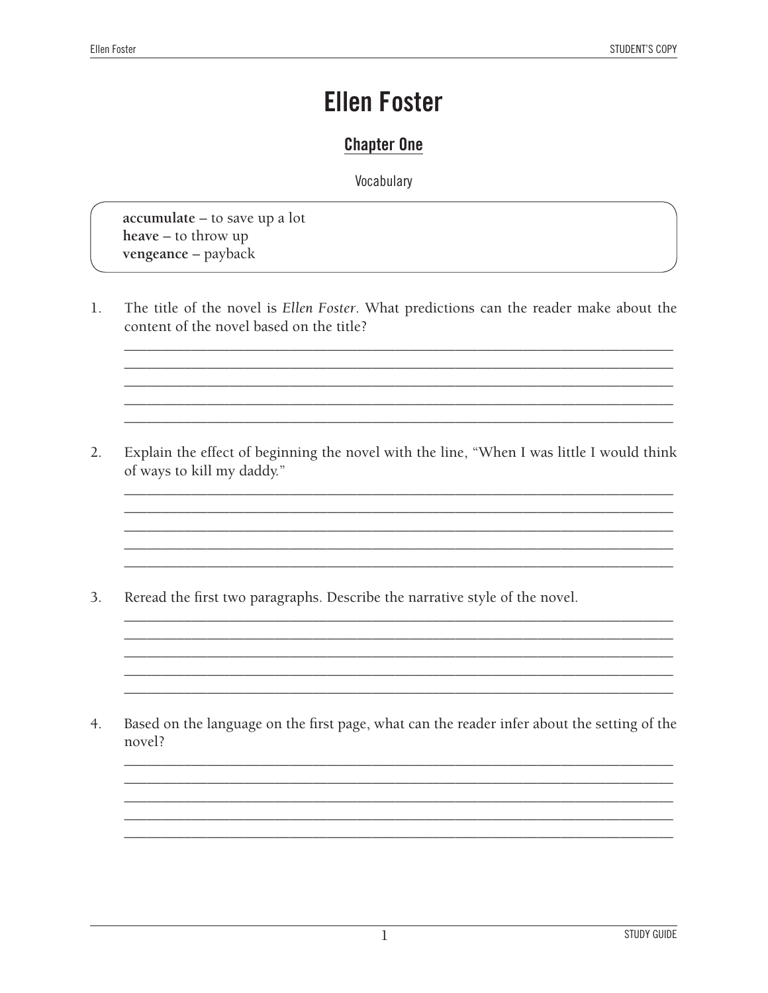### **Chapter One**

Vocabulary

accumulate – to save up a lot  $h$ eave – to throw up vengeance - payback

The title of the novel is Ellen Foster. What predictions can the reader make about the  $\mathbf{1}$ . content of the novel based on the title?

Explain the effect of beginning the novel with the line, "When I was little I would think  $2.$ of ways to kill my daddy."

3. Reread the first two paragraphs. Describe the narrative style of the novel.

 $4.$ Based on the language on the first page, what can the reader infer about the setting of the novel?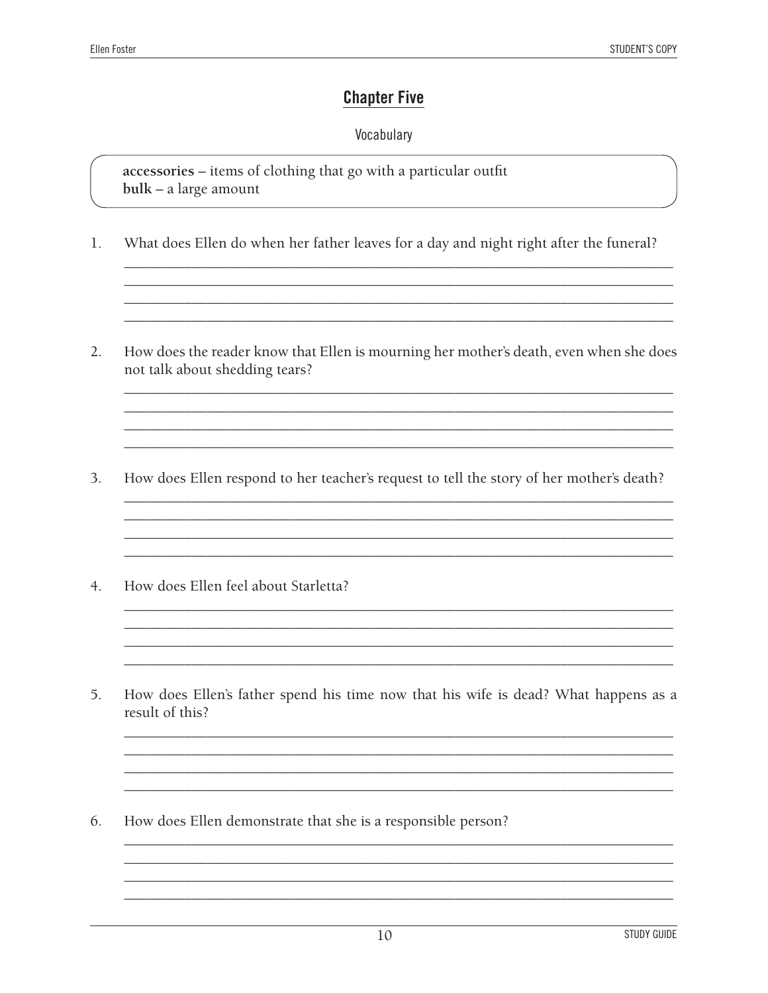### **Chapter Five**

#### Vocabulary

accessories - items of clothing that go with a particular outfit  $bulk - a large amount$ 

- $1.$ What does Ellen do when her father leaves for a day and night right after the funeral?
- $2.$ How does the reader know that Ellen is mourning her mother's death, even when she does not talk about shedding tears?

- How does Ellen respond to her teacher's request to tell the story of her mother's death?  $\overline{3}$ .
- $4.$ How does Ellen feel about Starletta?
- 5. How does Ellen's father spend his time now that his wife is dead? What happens as a result of this?

<u> 1989 - Johann Barn, mars ann an t-Amhain ann an t-Amhain ann an t-Amhain ann an t-Amhain an t-Amhain ann an t-</u>

6. How does Ellen demonstrate that she is a responsible person?